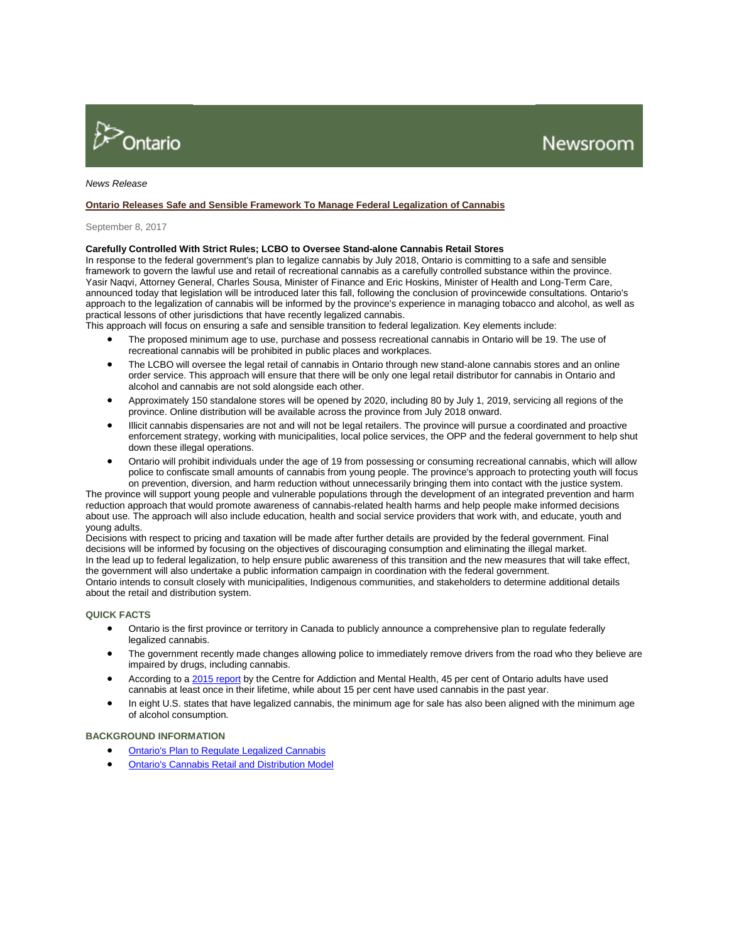

# *News Release*

## **[Ontario Releases Safe and Sensible Framework To Manage Federal Legalization of Cannabis](http://news.ontario.ca/mag/en/2017/09/ontario-releases-safe-and-sensible-framework-to-manage-federal-legalization-of-cannabis.html?utm_source=ondemand&utm_medium=email&utm_campaign=p)**

#### September 8, 2017

## **Carefully Controlled With Strict Rules; LCBO to Oversee Stand-alone Cannabis Retail Stores**

In response to the federal government's plan to legalize cannabis by July 2018, Ontario is committing to a safe and sensible framework to govern the lawful use and retail of recreational cannabis as a carefully controlled substance within the province. Yasir Naqvi, Attorney General, Charles Sousa, Minister of Finance and Eric Hoskins, Minister of Health and Long-Term Care, announced today that legislation will be introduced later this fall, following the conclusion of provincewide consultations. Ontario's approach to the legalization of cannabis will be informed by the province's experience in managing tobacco and alcohol, as well as practical lessons of other jurisdictions that have recently legalized cannabis.

This approach will focus on ensuring a safe and sensible transition to federal legalization. Key elements include:

- The proposed minimum age to use, purchase and possess recreational cannabis in Ontario will be 19. The use of recreational cannabis will be prohibited in public places and workplaces.
- The LCBO will oversee the legal retail of cannabis in Ontario through new stand-alone cannabis stores and an online order service. This approach will ensure that there will be only one legal retail distributor for cannabis in Ontario and alcohol and cannabis are not sold alongside each other.
- Approximately 150 standalone stores will be opened by 2020, including 80 by July 1, 2019, servicing all regions of the province. Online distribution will be available across the province from July 2018 onward.
- Illicit cannabis dispensaries are not and will not be legal retailers. The province will pursue a coordinated and proactive enforcement strategy, working with municipalities, local police services, the OPP and the federal government to help shut down these illegal operations.
- Ontario will prohibit individuals under the age of 19 from possessing or consuming recreational cannabis, which will allow police to confiscate small amounts of cannabis from young people. The province's approach to protecting youth will focus on prevention, diversion, and harm reduction without unnecessarily bringing them into contact with the justice system.

The province will support young people and vulnerable populations through the development of an integrated prevention and harm reduction approach that would promote awareness of cannabis-related health harms and help people make informed decisions about use. The approach will also include education, health and social service providers that work with, and educate, youth and young adults.

Decisions with respect to pricing and taxation will be made after further details are provided by the federal government. Final decisions will be informed by focusing on the objectives of discouraging consumption and eliminating the illegal market. In the lead up to federal legalization, to help ensure public awareness of this transition and the new measures that will take effect, the government will also undertake a public information campaign in coordination with the federal government. Ontario intends to consult closely with municipalities, Indigenous communities, and stakeholders to determine additional details about the retail and distribution system.

### **QUICK FACTS**

- Ontario is the first province or territory in Canada to publicly announce a comprehensive plan to regulate federally legalized cannabis.
- The government recently made changes allowing police to immediately remove drivers from the road who they believe are impaired by drugs, including cannabis.
- According to [a 2015 report](https://www.camh.ca/en/research/news_and_publications/CAMH%20Monitor/CAMH-Monitor-2015-eReport-Final-Web.pdf) by the Centre for Addiction and Mental Health, 45 per cent of Ontario adults have used cannabis at least once in their lifetime, while about 15 per cent have used cannabis in the past year.
- In eight U.S. states that have legalized cannabis, the minimum age for sale has also been aligned with the minimum age of alcohol consumption.

### **BACKGROUND INFORMATION**

- [Ontario's Plan to Regulate Legalized Cannabis](http://news.ontario.ca/mag/en/2017/09/ontarios-plan-to-regulate-legalized-cannabis.html)
- [Ontario's Cannabis Retail and Distribution Model](http://news.ontario.ca/mof/en/2017/09/ontarios-cannabis-retail-and-distribution-model.html)